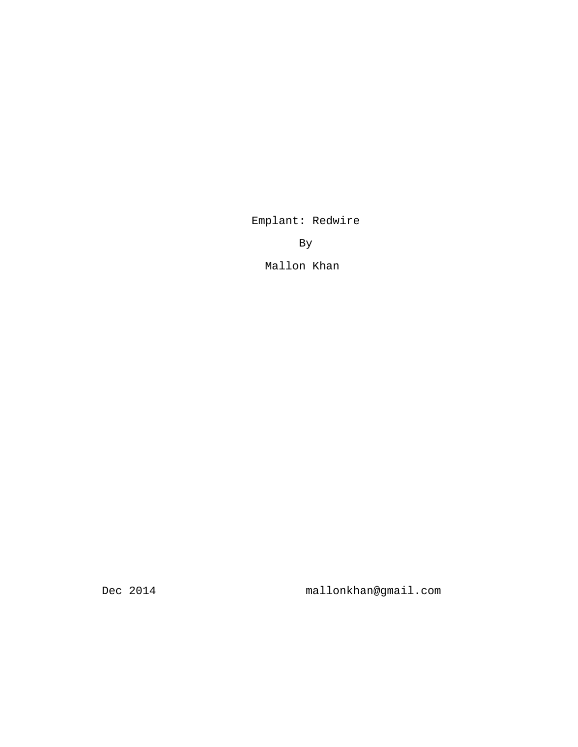Emplant: Redwire

By

Mallon Khan

Dec 2014 mallonkhan@gmail.com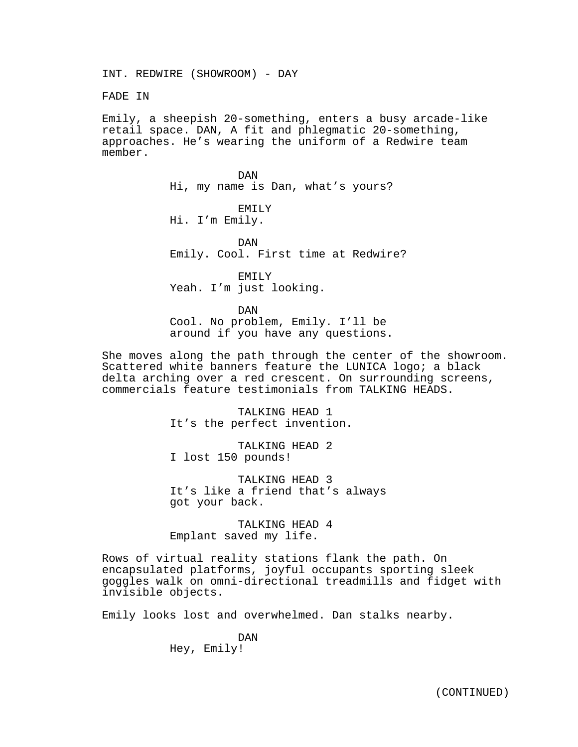INT. REDWIRE (SHOWROOM) - DAY

FADE IN

Emily, a sheepish 20-something, enters a busy arcade-like retail space. DAN, A fit and phlegmatic 20-something, approaches. He's wearing the uniform of a Redwire team member.

> DAN Hi, my name is Dan, what's yours?

EMILY Hi. I'm Emily.

DAN Emily. Cool. First time at Redwire?

EMILY Yeah. I'm just looking.

DAN

Cool. No problem, Emily. I'll be around if you have any questions.

She moves along the path through the center of the showroom. Scattered white banners feature the LUNICA logo; a black delta arching over a red crescent. On surrounding screens, commercials feature testimonials from TALKING HEADS.

> TALKING HEAD 1 It's the perfect invention.

TALKING HEAD 2 I lost 150 pounds!

TALKING HEAD 3 It's like a friend that's always got your back.

TALKING HEAD 4 Emplant saved my life.

Rows of virtual reality stations flank the path. On encapsulated platforms, joyful occupants sporting sleek goggles walk on omni-directional treadmills and fidget with invisible objects.

Emily looks lost and overwhelmed. Dan stalks nearby.

DAN Hey, Emily!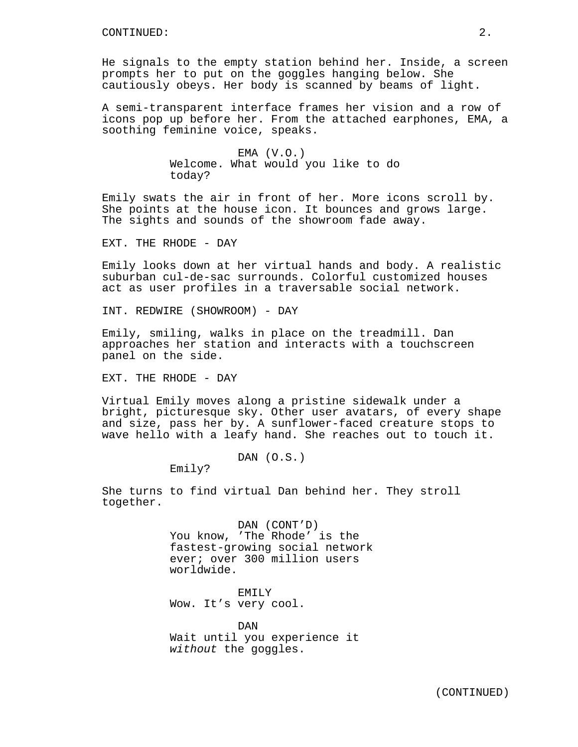He signals to the empty station behind her. Inside, a screen prompts her to put on the goggles hanging below. She cautiously obeys. Her body is scanned by beams of light.

A semi-transparent interface frames her vision and a row of icons pop up before her. From the attached earphones, EMA, a soothing feminine voice, speaks.

> $EMA (V.O.)$ Welcome. What would you like to do today?

Emily swats the air in front of her. More icons scroll by. She points at the house icon. It bounces and grows large. The sights and sounds of the showroom fade away.

EXT. THE RHODE - DAY

Emily looks down at her virtual hands and body. A realistic suburban cul-de-sac surrounds. Colorful customized houses act as user profiles in a traversable social network.

INT. REDWIRE (SHOWROOM) - DAY

Emily, smiling, walks in place on the treadmill. Dan approaches her station and interacts with a touchscreen panel on the side.

EXT. THE RHODE - DAY

Virtual Emily moves along a pristine sidewalk under a bright, picturesque sky. Other user avatars, of every shape and size, pass her by. A sunflower-faced creature stops to wave hello with a leafy hand. She reaches out to touch it.

DAN (O.S.)

Emily?

She turns to find virtual Dan behind her. They stroll together.

> DAN (CONT'D) You know, 'The Rhode' is the fastest-growing social network ever; over 300 million users worldwide.

EMILY Wow. It's very cool.

DAN Wait until you experience it *without* the goggles.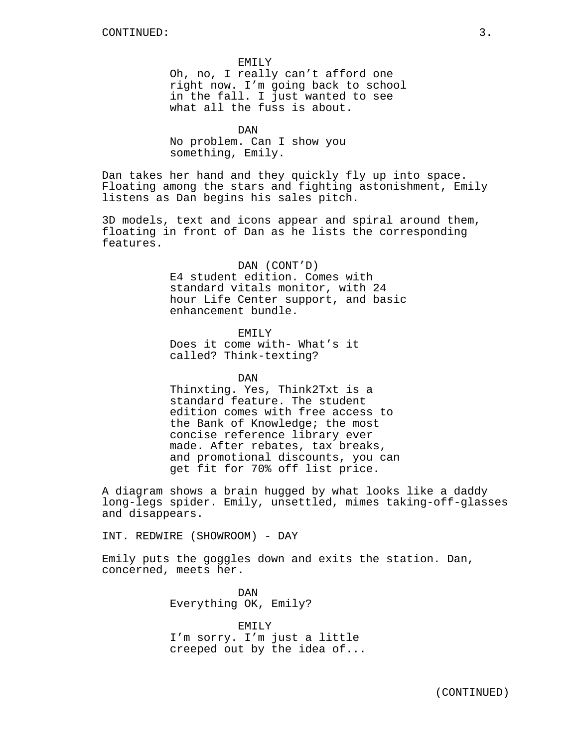EMILY Oh, no, I really can't afford one right now. I'm going back to school in the fall. I just wanted to see what all the fuss is about.

DAN No problem. Can I show you something, Emily.

Dan takes her hand and they quickly fly up into space. Floating among the stars and fighting astonishment, Emily listens as Dan begins his sales pitch.

3D models, text and icons appear and spiral around them, floating in front of Dan as he lists the corresponding features.

> DAN (CONT'D) E4 student edition. Comes with standard vitals monitor, with 24 hour Life Center support, and basic enhancement bundle.

EMILY Does it come with- What's it called? Think-texting?

DAN

Thinxting. Yes, Think2Txt is a standard feature. The student edition comes with free access to the Bank of Knowledge; the most concise reference library ever made. After rebates, tax breaks, and promotional discounts, you can get fit for 70% off list price.

A diagram shows a brain hugged by what looks like a daddy long-legs spider. Emily, unsettled, mimes taking-off-glasses and disappears.

INT. REDWIRE (SHOWROOM) - DAY

Emily puts the goggles down and exits the station. Dan, concerned, meets her.

> DAN Everything OK, Emily?

EMILY I'm sorry. I'm just a little creeped out by the idea of...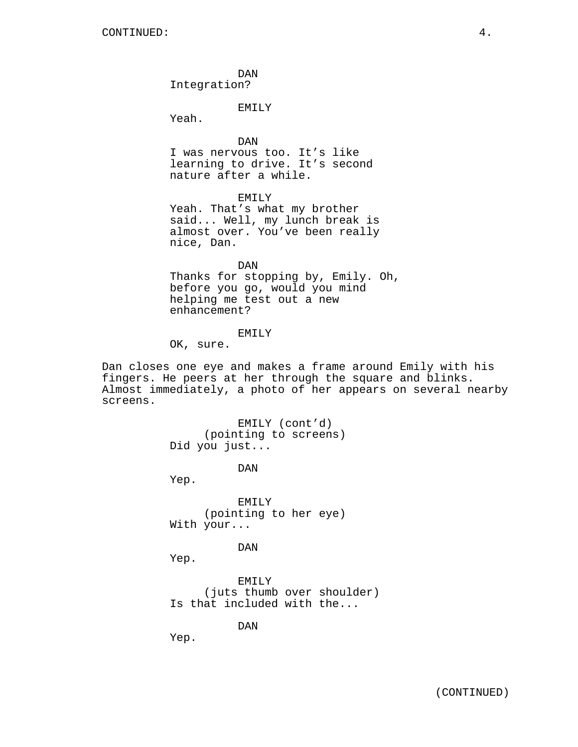DAN Integration?

EMILY

Yeah.

DAN I was nervous too. It's like learning to drive. It's second nature after a while.

EMILY

Yeah. That's what my brother said... Well, my lunch break is almost over. You've been really nice, Dan.

DAN Thanks for stopping by, Emily. Oh, before you go, would you mind helping me test out a new enhancement?

## EMILY

OK, sure.

Dan closes one eye and makes a frame around Emily with his fingers. He peers at her through the square and blinks. Almost immediately, a photo of her appears on several nearby screens.

> EMILY (cont'd) (pointing to screens) Did you just...

> > DAN

Yep.

EMILY (pointing to her eye) With your...

DAN

Yep.

EMILY (juts thumb over shoulder) Is that included with the...

DAN

Yep.